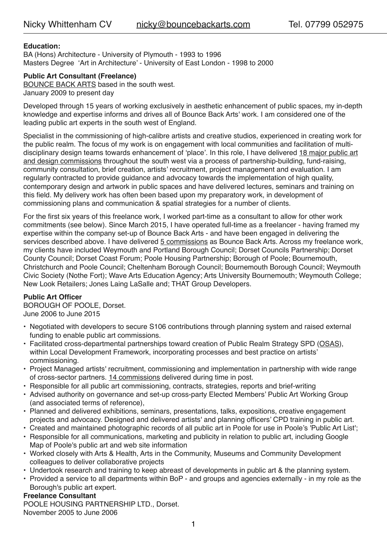# **Education:**

BA (Hons) Architecture - University of Plymouth - 1993 to 1996 Masters Degree 'Art in Architecture' - University of East London - 1998 to 2000

## **Public Art Consultant (Freelance)**

[BOUNCE BACK ARTS](http://www.bouncebackarts.com) based in the south west. January 2009 to present day

Developed through 15 years of working exclusively in aesthetic enhancement of public spaces, my in-depth knowledge and expertise informs and drives all of Bounce Back Arts' work. I am considered one of the leading public art experts in the south west of England.

Specialist in the commissioning of high-calibre artists and creative studios, experienced in creating work for the public realm. The focus of my work is on engagement with local communities and facilitation of multidisciplinary design teams towards enhancement of 'place'. In this role, I have delivered [18 major public art](https://www.bouncebackarts.com/who-we-are/nicky/freelance/)  [and design commissions](https://www.bouncebackarts.com/who-we-are/nicky/freelance/) throughout the south west via a process of partnership-building, fund-raising, community consultation, brief creation, artists' recruitment, project management and evaluation. I am regularly contracted to provide guidance and advocacy towards the implementation of high quality, contemporary design and artwork in public spaces and have delivered lectures, seminars and training on this field. My delivery work has often been based upon my preparatory work, in development of commissioning plans and communication & spatial strategies for a number of clients.

For the first six years of this freelance work, I worked part-time as a consultant to allow for other work commitments (see below). Since March 2015, I have operated full-time as a freelancer - having framed my expertise within the company set-up of Bounce Back Arts - and have been engaged in delivering the services described above. I have delivered [5 commissions](https://www.bouncebackarts.com/what-we-do/) as Bounce Back Arts. Across my freelance work, my clients have included Weymouth and Portland Borough Council; Dorset Councils Partnership; Dorset County Council; Dorset Coast Forum; Poole Housing Partnership; Borough of Poole; Bournemouth, Christchurch and Poole Council; Cheltenham Borough Council; Bournemouth Borough Council; Weymouth Civic Society (Nothe Fort); Wave Arts Education Agency; Arts University Bournemouth; Weymouth College; New Look Retailers; Jones Laing LaSalle and; THAT Group Developers.

# **Public Art Officer**

BOROUGH OF POOLE, Dorset. June 2006 to June 2015

- Negotiated with developers to secure S106 contributions through planning system and raised external funding to enable public art commissions.
- Facilitated cross-departmental partnerships toward creation of Public Realm Strategy SPD ([OSAS](https://www.poole.gov.uk/planning-and-building-control/planning-policy-and-guidance/supplementary-planning-documents-and-guidance-notes/our-streets-and-spaces/)), within Local Development Framework, incorporating processes and best practice on artists' commissioning.
- Project Managed artists' recruitment, commissioning and implementation in partnership with wide range of cross-sector partners. [14 commissions](https://www.bouncebackarts.com/who-we-are/nicky/borough-of-poole/) delivered during time in post.
- Responsible for all public art commissioning, contracts, strategies, reports and brief-writing
- Advised authority on governance and set-up cross-party Elected Members' Public Art Working Group (and associated terms of reference),
- Planned and delivered exhibitions, seminars, presentations, talks, expositions, creative engagement projects and advocacy. Designed and delivered artists' and planning officers' CPD training in public art.
- Created and maintained photographic records of all public art in Poole for use in Poole's 'Public Art List';
- Responsible for all communications, marketing and publicity in relation to public art, including Google Map of Poole's public art and web site information
- Worked closely with Arts & Health, Arts in the Community, Museums and Community Development colleagues to deliver collaborative projects
- Undertook research and training to keep abreast of developments in public art & the planning system.
- Provided a service to all departments within BoP and groups and agencies externally in my role as the Borough's public art expert.

## **Freelance Consultant**

POOLE HOUSING PARTNERSHIP LTD., Dorset. November 2005 to June 2006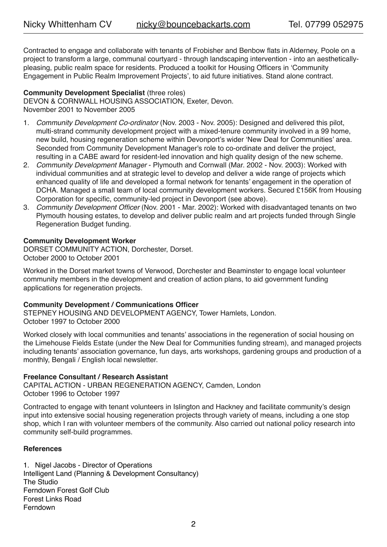Contracted to engage and collaborate with tenants of Frobisher and Benbow flats in Alderney, Poole on a project to transform a large, communal courtyard - through landscaping intervention - into an aestheticallypleasing, public realm space for residents. Produced a toolkit for Housing Officers in 'Community Engagement in Public Realm Improvement Projects', to aid future initiatives. Stand alone contract.

## **Community Development Specialist** (three roles)

DEVON & CORNWALL HOUSING ASSOCIATION, Exeter, Devon. November 2001 to November 2005

- 1. *Community Development Co-ordinator* (Nov. 2003 Nov. 2005): Designed and delivered this pilot, multi-strand community development project with a mixed-tenure community involved in a 99 home, new build, housing regeneration scheme within Devonport's wider 'New Deal for Communities' area. Seconded from Community Development Manager's role to co-ordinate and deliver the project, resulting in a CABE award for resident-led innovation and high quality design of the new scheme.
- 2. *Community Development Manager* Plymouth and Cornwall (Mar. 2002 Nov. 2003): Worked with individual communities and at strategic level to develop and deliver a wide range of projects which enhanced quality of life and developed a formal network for tenants' engagement in the operation of DCHA. Managed a small team of local community development workers. Secured £156K from Housing Corporation for specific, community-led project in Devonport (see above).
- 3. *Community Development Officer* (Nov. 2001 Mar. 2002): Worked with disadvantaged tenants on two Plymouth housing estates, to develop and deliver public realm and art projects funded through Single Regeneration Budget funding.

## **Community Development Worker**

DORSET COMMUNITY ACTION, Dorchester, Dorset. October 2000 to October 2001

Worked in the Dorset market towns of Verwood, Dorchester and Beaminster to engage local volunteer community members in the development and creation of action plans, to aid government funding applications for regeneration projects.

## **Community Development / Communications Officer**

STEPNEY HOUSING AND DEVELOPMENT AGENCY, Tower Hamlets, London. October 1997 to October 2000

Worked closely with local communities and tenants' associations in the regeneration of social housing on the Limehouse Fields Estate (under the New Deal for Communities funding stream), and managed projects including tenants' association governance, fun days, arts workshops, gardening groups and production of a monthly, Bengali / English local newsletter.

## **Freelance Consultant / Research Assistant**

CAPITAL ACTION - URBAN REGENERATION AGENCY, Camden, London October 1996 to October 1997

Contracted to engage with tenant volunteers in Islington and Hackney and facilitate community's design input into extensive social housing regeneration projects through variety of means, including a one stop shop, which I ran with volunteer members of the community. Also carried out national policy research into community self-build programmes.

## **References**

1. Nigel Jacobs - Director of Operations Intelligent Land (Planning & Development Consultancy) The Studio Ferndown Forest Golf Club Forest Links Road Ferndown